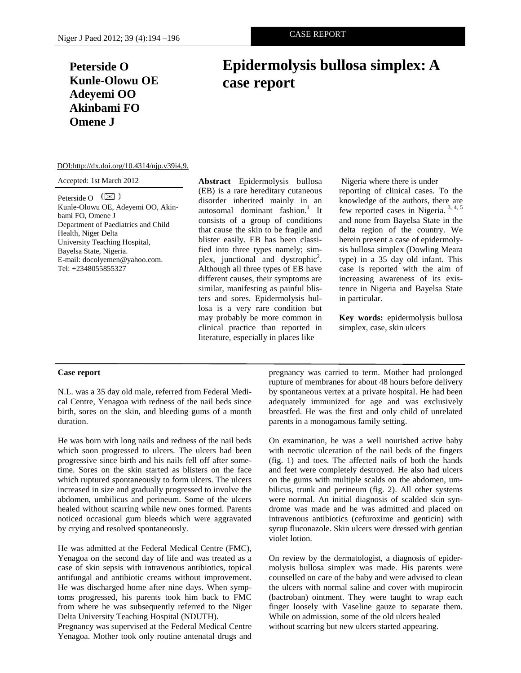# **Peterside O Kunle-Olowu OE Adeyemi OO Akinbami FO Omene J**

# **Epidermolysis bullosa simplex: A case report**

### DOI:http://dx.doi.org/10.4314/njp.v39i4,9.

#### Accepted: 1st March 2012

Peterside O  $\left(\boxtimes\right)$ Kunle-Olowu OE, Adeyemi OO, Akinbami FO, Omene J Department of Paediatrics and Child Health, Niger Delta University Teaching Hospital, Bayelsa State, Nigeria. E-mail: docolyemen@yahoo.com. Tel: +2348055855327

**Abstract** Epidermolysis bullosa (EB) is a rare hereditary cutaneous disorder inherited mainly in an autosomal dominant fashion.<sup>1</sup> It consists of a group of conditions that cause the skin to be fragile and blister easily. EB has been classified into three types namely; simplex, junctional and dystrophic<sup>2</sup>. Although all three types of EB have different causes, their symptoms are similar, manifesting as painful blisters and sores. Epidermolysis bullosa is a very rare condition but may probably be more common in clinical practice than reported in literature, especially in places like

 Nigeria where there is under reporting of clinical cases. To the knowledge of the authors, there are few reported cases in Nigeria. 3, 4, 5 and none from Bayelsa State in the delta region of the country. We herein present a case of epidermolysis bullosa simplex (Dowling Meara type) in a 35 day old infant. This case is reported with the aim of increasing awareness of its existence in Nigeria and Bayelsa State in particular.

**Key words:** epidermolysis bullosa simplex, case, skin ulcers

#### **Case report**

N.L. was a 35 day old male, referred from Federal Medical Centre, Yenagoa with redness of the nail beds since birth, sores on the skin, and bleeding gums of a month duration.

He was born with long nails and redness of the nail beds which soon progressed to ulcers. The ulcers had been progressive since birth and his nails fell off after sometime. Sores on the skin started as blisters on the face which ruptured spontaneously to form ulcers. The ulcers increased in size and gradually progressed to involve the abdomen, umbilicus and perineum. Some of the ulcers healed without scarring while new ones formed. Parents noticed occasional gum bleeds which were aggravated by crying and resolved spontaneously.

He was admitted at the Federal Medical Centre (FMC), Yenagoa on the second day of life and was treated as a case of skin sepsis with intravenous antibiotics, topical antifungal and antibiotic creams without improvement. He was discharged home after nine days. When symptoms progressed, his parents took him back to FMC from where he was subsequently referred to the Niger Delta University Teaching Hospital (NDUTH).

Pregnancy was supervised at the Federal Medical Centre Yenagoa. Mother took only routine antenatal drugs and

pregnancy was carried to term. Mother had prolonged rupture of membranes for about 48 hours before delivery by spontaneous vertex at a private hospital. He had been adequately immunized for age and was exclusively breastfed. He was the first and only child of unrelated parents in a monogamous family setting.

On examination, he was a well nourished active baby with necrotic ulceration of the nail beds of the fingers (fig. 1) and toes. The affected nails of both the hands and feet were completely destroyed. He also had ulcers on the gums with multiple scalds on the abdomen, umbilicus, trunk and perineum (fig. 2). All other systems were normal. An initial diagnosis of scalded skin syndrome was made and he was admitted and placed on intravenous antibiotics (cefuroxime and genticin) with syrup fluconazole. Skin ulcers were dressed with gentian violet lotion.

On review by the dermatologist, a diagnosis of epidermolysis bullosa simplex was made. His parents were counselled on care of the baby and were advised to clean the ulcers with normal saline and cover with mupirocin (bactroban) ointment. They were taught to wrap each finger loosely with Vaseline gauze to separate them. While on admission, some of the old ulcers healed without scarring but new ulcers started appearing.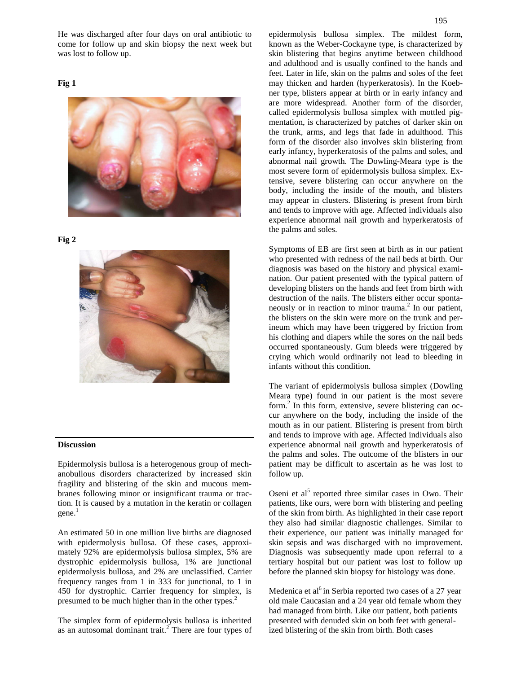He was discharged after four days on oral antibiotic to come for follow up and skin biopsy the next week but was lost to follow up.

# **Fig 1**



#### **Fig 2**



# **Discussion**

Epidermolysis bullosa is a heterogenous group of mechanobullous disorders characterized by increased skin fragility and blistering of the skin and mucous membranes following minor or insignificant trauma or traction. It is caused by a mutation in the keratin or collagen  $gene.<sup>1</sup>$ 

An estimated 50 in one million live births are diagnosed with epidermolysis bullosa. Of these cases, approximately 92% are epidermolysis bullosa simplex, 5% are dystrophic epidermolysis bullosa, 1% are junctional epidermolysis bullosa, and 2% are unclassified. Carrier frequency ranges from 1 in 333 for junctional, to 1 in 450 for dystrophic. Carrier frequency for simplex, is presumed to be much higher than in the other types.<sup>2</sup>

The simplex form of epidermolysis bullosa is inherited as an autosomal dominant trait.<sup>2</sup> There are four types of epidermolysis bullosa simplex. The mildest form, known as the Weber-Cockayne type, is characterized by skin blistering that begins anytime between childhood and adulthood and is usually confined to the hands and feet. Later in life, skin on the palms and soles of the feet may thicken and harden (hyperkeratosis). In the Koebner type, blisters appear at birth or in early infancy and are more widespread. Another form of the disorder, called epidermolysis bullosa simplex with mottled pigmentation, is characterized by patches of darker skin on the trunk, arms, and legs that fade in adulthood. This form of the disorder also involves skin blistering from early infancy, hyperkeratosis of the palms and soles, and abnormal nail growth. The Dowling-Meara type is the most severe form of epidermolysis bullosa simplex. Extensive, severe blistering can occur anywhere on the body, including the inside of the mouth, and blisters may appear in clusters. Blistering is present from birth and tends to improve with age. Affected individuals also experience abnormal nail growth and hyperkeratosis of the palms and soles.

Symptoms of EB are first seen at birth as in our patient who presented with redness of the nail beds at birth. Our diagnosis was based on the history and physical examination. Our patient presented with the typical pattern of developing blisters on the hands and feet from birth with destruction of the nails. The blisters either occur spontaneously or in reaction to minor trauma.<sup>2</sup> In our patient, the blisters on the skin were more on the trunk and perineum which may have been triggered by friction from his clothing and diapers while the sores on the nail beds occurred spontaneously. Gum bleeds were triggered by crying which would ordinarily not lead to bleeding in infants without this condition.

The variant of epidermolysis bullosa simplex (Dowling Meara type) found in our patient is the most severe form.<sup>2</sup> In this form, extensive, severe blistering can occur anywhere on the body, including the inside of the mouth as in our patient. Blistering is present from birth and tends to improve with age. Affected individuals also experience abnormal nail growth and hyperkeratosis of the palms and soles. The outcome of the blisters in our patient may be difficult to ascertain as he was lost to follow up.

Oseni et al<sup>5</sup> reported three similar cases in Owo. Their patients, like ours, were born with blistering and peeling of the skin from birth. As highlighted in their case report they also had similar diagnostic challenges. Similar to their experience, our patient was initially managed for skin sepsis and was discharged with no improvement. Diagnosis was subsequently made upon referral to a tertiary hospital but our patient was lost to follow up before the planned skin biopsy for histology was done.

Medenica et al<sup>6</sup> in Serbia reported two cases of a 27 year old male Caucasian and a 24 year old female whom they had managed from birth. Like our patient, both patients presented with denuded skin on both feet with generalized blistering of the skin from birth. Both cases